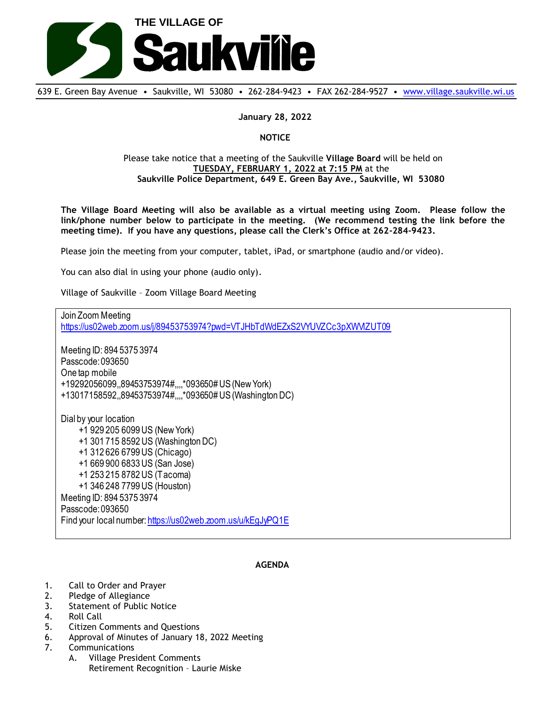

639 E. Green Bay Avenue • Saukville, WI 53080 • 262-284-9423 • FAX 262-284-9527 • [www.village.saukville.wi.us](http://www.village.saukville.wi.us/)

**January 28, 2022**

**NOTICE**

## Please take notice that a meeting of the Saukville **Village Board** will be held on **TUESDAY, FEBRUARY 1, 2022 at 7:15 PM** at the **Saukville Police Department, 649 E. Green Bay Ave., Saukville, WI 53080**

**The Village Board Meeting will also be available as a virtual meeting using Zoom. Please follow the link/phone number below to participate in the meeting. (We recommend testing the link before the meeting time). If you have any questions, please call the Clerk's Office at 262-284-9423.**

Please join the meeting from your computer, tablet, iPad, or smartphone (audio and/or video).

You can also dial in using your phone (audio only).

Village of Saukville – Zoom Village Board Meeting

Join Zoom Meeting https://us02web.zoom.us/j/89453753974?pwd=VTJHbTdWdEZxS2VYUVZCc3pXWMZUT09 Meeting ID: 894 5375 3974 Passcode: 093650 One tap mobile +19292056099,,89453753974#,,,,\*093650# US (New York) +13017158592,,89453753974#,,,,\*093650# US (Washington DC) Dial by your location +1 929 205 6099 US (New York) +1 301 715 8592 US (Washington DC) +1 312 626 6799 US (Chicago) +1 669 900 6833 US (San Jose) +1 253 215 8782 US (Tacoma) +1 346 248 7799 US (Houston) Meeting ID: 894 5375 3974 Passcode: 093650 Find your local number: https://us02web.zoom.us/u/kEgJyPQ1E

## **AGENDA**

- 1. Call to Order and Prayer
- 2. Pledge of Allegiance
- 3. Statement of Public Notice
- 4. Roll Call
- 5. Citizen Comments and Questions
- 6. Approval of Minutes of January 18, 2022 Meeting
- 7. Communications
	- A. Village President Comments Retirement Recognition – Laurie Miske